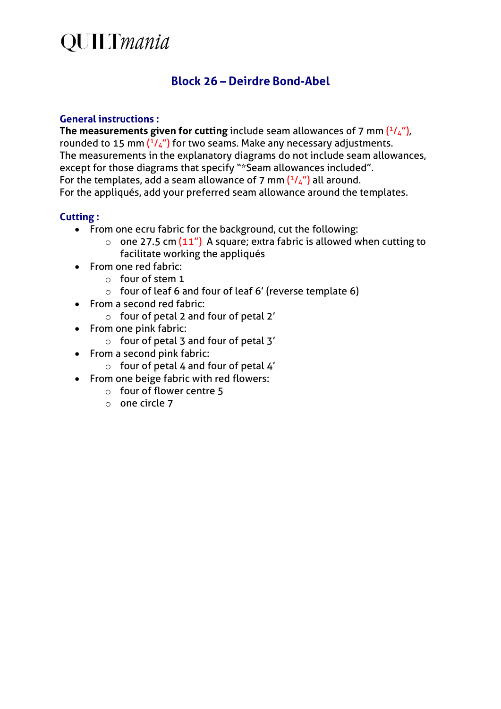# **QUILTmania**

### **Block 26 – Deirdre Bond-Abel**

#### **General instructions :**

The measurements given for cutting include seam allowances of 7 mm  $(^{1}/_{4})$ , rounded to 15 mm  $(^{1}/_{4}$ ") for two seams. Make any necessary adjustments. The measurements in the explanatory diagrams do not include seam allowances, except for those diagrams that specify "\*Seam allowances included". For the templates, add a seam allowance of 7 mm  $(^{1}/_{4}$ ") all around. For the appliqués, add your preferred seam allowance around the templates.

### **Cutting :**

- From one ecru fabric for the background, cut the following:
	- $\circ$  one 27.5 cm (11") A square; extra fabric is allowed when cutting to facilitate working the appliqués
- From one red fabric:
	- $\circ$  four of stem 1
	- o four of leaf 6 and four of leaf 6' (reverse template 6)
- From a second red fabric:
	- o four of petal 2 and four of petal 2'
- From one pink fabric:
	- o four of petal 3 and four of petal 3'
- From a second pink fabric:
	- $\circ$  four of petal 4 and four of petal 4'
- From one beige fabric with red flowers:
	- o four of flower centre 5
	- $\circ$  one circle 7